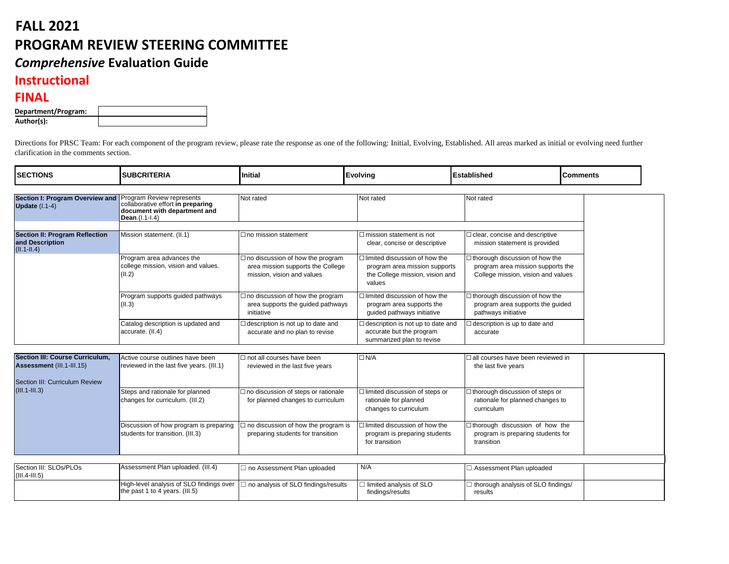## **FALL 2021 PROGRAM REVIEW STEERING COMMITTEE** *Comprehensive* **Evaluation Guide**

## **Instructional**

## **FINAL**

| Department/Program: |  |
|---------------------|--|
| Author(s):          |  |

Directions for PRSC Team: For each component of the program review, please rate the response as one of the following: Initial, Evolving, Established. All areas marked as initial or evolving need further clarification in the comments section.

| <b>SECTIONS</b>                                                                                                          | <b>SUBCRITERIA</b>                                                                                               | Initial                                                                                                    | <b>Evolving</b>                                                                                                    | <b>Established</b>                                                                                               | <b>Comments</b> |
|--------------------------------------------------------------------------------------------------------------------------|------------------------------------------------------------------------------------------------------------------|------------------------------------------------------------------------------------------------------------|--------------------------------------------------------------------------------------------------------------------|------------------------------------------------------------------------------------------------------------------|-----------------|
| <b>Section I: Program Overview and</b><br>Update (I.1-4)                                                                 | Program Review represents<br>collaborative effort in preparing<br>document with department and<br>Dean.(I.1-I.4) | Not rated                                                                                                  | Not rated                                                                                                          | Not rated                                                                                                        |                 |
| <b>Section II: Program Reflection</b><br>and Description<br>$(II.1-II.4)$                                                | Mission statement. (II.1)                                                                                        | $\Box$ no mission statement                                                                                | $\Box$ mission statement is not<br>clear, concise or descriptive                                                   | $\Box$ clear, concise and descriptive<br>mission statement is provided                                           |                 |
|                                                                                                                          | Program area advances the<br>college mission, vision and values.<br>(II.2)                                       | $\Box$ no discussion of how the program<br>area mission supports the College<br>mission, vision and values | $\Box$ limited discussion of how the<br>program area mission supports<br>the College mission, vision and<br>values | $\Box$ thorough discussion of how the<br>program area mission supports the<br>College mission, vision and values |                 |
|                                                                                                                          | Program supports guided pathways<br>(II.3)                                                                       | $\Box$ no discussion of how the program<br>area supports the guided pathways<br>initiative                 | $\Box$ limited discussion of how the<br>program area supports the<br>guided pathways initiative                    | $\Box$ thorough discussion of how the<br>program area supports the guided<br>pathways initiative                 |                 |
|                                                                                                                          | Catalog description is updated and<br>accurate. (II.4)                                                           | $\Box$ description is not up to date and<br>accurate and no plan to revise                                 | $\Box$ description is not up to date and<br>accurate but the program<br>summarized plan to revise                  | $\Box$ description is up to date and<br>accurate                                                                 |                 |
| <b>Section III: Course Curriculum,</b><br>Assessment (III.1-III.15)<br>Section III: Curriculum Review<br>$(III.1-III.3)$ | Active course outlines have been<br>reviewed in the last five years. (III.1)                                     | $\Box$ not all courses have been<br>reviewed in the last five years                                        | $\Box N/A$                                                                                                         | $\Box$ all courses have been reviewed in<br>the last five years                                                  |                 |
|                                                                                                                          | Steps and rationale for planned<br>changes for curriculum. (III.2)                                               | $\Box$ no discussion of steps or rationale<br>for planned changes to curriculum                            | $\Box$ limited discussion of steps or<br>rationale for planned<br>changes to curriculum                            | □ thorough discussion of steps or<br>rationale for planned changes to<br>curriculum                              |                 |
|                                                                                                                          | Discussion of how program is preparing<br>students for transition. (III.3)                                       | $\exists$ no discussion of how the program is<br>preparing students for transition                         | $\Box$ limited discussion of how the<br>program is preparing students<br>for transition                            | □thorough discussion of how the<br>program is preparing students for<br>transition                               |                 |
| Section III: SLOs/PLOs                                                                                                   | Assessment Plan uploaded. (III.4)                                                                                | □ no Assessment Plan uploaded                                                                              | N/A                                                                                                                | □ Assessment Plan uploaded                                                                                       |                 |
| $(III.4-III.5)$                                                                                                          | High-level analysis of SLO findings over<br>the past 1 to 4 years. (III.5)                                       | $\Box$ no analysis of SLO findings/results                                                                 | $\Box$ limited analysis of SLO<br>findings/results                                                                 | $\exists$ thorough analysis of SLO findings/<br>results                                                          |                 |

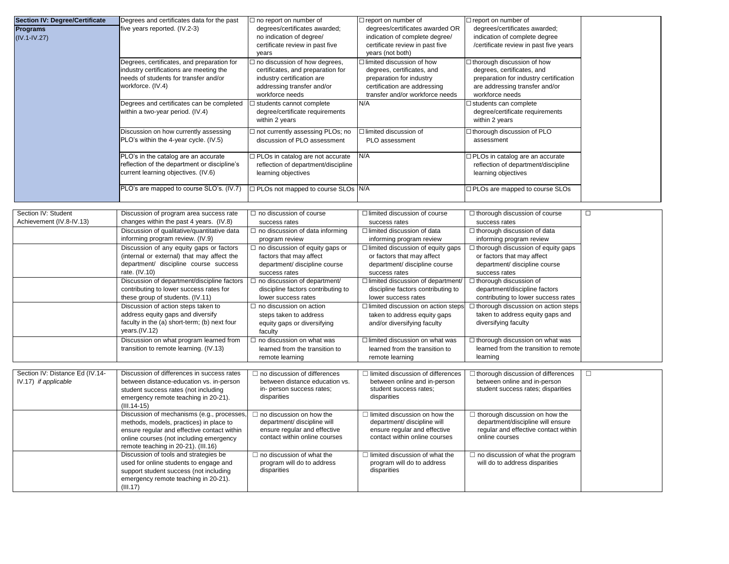| <b>Section IV: Degree/Certificate</b>                   | Degrees and certificates data for the past                                                                                                                                                                             | $\Box$ no report on number of                                                                                                                            | $\Box$ report on number of                                                                                                                                    | $\Box$ report on number of                                                                                                                                     |
|---------------------------------------------------------|------------------------------------------------------------------------------------------------------------------------------------------------------------------------------------------------------------------------|----------------------------------------------------------------------------------------------------------------------------------------------------------|---------------------------------------------------------------------------------------------------------------------------------------------------------------|----------------------------------------------------------------------------------------------------------------------------------------------------------------|
| <b>Programs</b><br>$(IV.1 - IV.27)$                     | five years reported. (IV.2-3)                                                                                                                                                                                          | degrees/certificates awarded;<br>no indication of degree/<br>certificate review in past five<br>years                                                    | degrees/certificates awarded OR<br>indication of complete degree/<br>certificate review in past five<br>years (not both)                                      | degrees/certificates awarded;<br>indication of complete degree<br>/certificate review in past five years                                                       |
|                                                         | Degrees, certificates, and preparation for<br>industry certifications are meeting the<br>needs of students for transfer and/or<br>workforce. (IV.4)                                                                    | $\Box$ no discussion of how degrees,<br>certificates, and preparation for<br>industry certification are<br>addressing transfer and/or<br>workforce needs | $\Box$ limited discussion of how<br>degrees, certificates, and<br>preparation for industry<br>certification are addressing<br>transfer and/or workforce needs | $\Box$ thorough discussion of how<br>degrees, certificates, and<br>preparation for industry certification<br>are addressing transfer and/or<br>workforce needs |
|                                                         | Degrees and certificates can be completed<br>within a two-year period. (IV.4)                                                                                                                                          | $\Box$ students cannot complete<br>degree/certificate requirements<br>within 2 years                                                                     | N/A                                                                                                                                                           | $\Box$ students can complete<br>degree/certificate requirements<br>within 2 years                                                                              |
|                                                         | Discussion on how currently assessing<br>PLO's within the 4-year cycle. (IV.5)                                                                                                                                         | $\Box$ not currently assessing PLOs; no<br>discussion of PLO assessment                                                                                  | $\Box$ limited discussion of<br>PLO assessment                                                                                                                | □ thorough discussion of PLO<br>assessment                                                                                                                     |
|                                                         | PLO's in the catalog are an accurate<br>reflection of the department or discipline's<br>current learning objectives. (IV.6)                                                                                            | $\Box$ PLOs in catalog are not accurate<br>reflection of department/discipline<br>learning objectives                                                    | N/A                                                                                                                                                           | □ PLOs in catalog are an accurate<br>reflection of department/discipline<br>learning objectives                                                                |
|                                                         | PLO's are mapped to course SLO's. (IV.7)                                                                                                                                                                               | $\Box$ PLOs not mapped to course SLOs $N/A$                                                                                                              |                                                                                                                                                               | □ PLOs are mapped to course SLOs                                                                                                                               |
|                                                         |                                                                                                                                                                                                                        |                                                                                                                                                          |                                                                                                                                                               |                                                                                                                                                                |
| Section IV: Student<br>Achievement (IV.8-IV.13)         | Discussion of program area success rate<br>changes within the past 4 years. (IV.8)                                                                                                                                     | $\Box$ no discussion of course<br>success rates                                                                                                          | $\Box$ limited discussion of course<br>success rates                                                                                                          | $\Box$ thorough discussion of course<br>success rates                                                                                                          |
|                                                         | Discussion of qualitative/quantitative data<br>informing program review. (IV.9)                                                                                                                                        | $\Box$ no discussion of data informing<br>program review                                                                                                 | $\Box$ limited discussion of data<br>informing program review                                                                                                 | $\Box$ thorough discussion of data<br>informing program review                                                                                                 |
|                                                         | Discussion of any equity gaps or factors<br>(internal or external) that may affect the<br>department/ discipline course success<br>rate. $(IV.10)$                                                                     | $\Box$ no discussion of equity gaps or<br>factors that may affect<br>department/ discipline course<br>success rates                                      | $\Box$ limited discussion of equity gaps<br>or factors that may affect<br>department/ discipline course<br>success rates                                      | $\Box$ thorough discussion of equity gaps<br>or factors that may affect<br>department/ discipline course<br>success rates                                      |
|                                                         | Discussion of department/discipline factors<br>contributing to lower success rates for<br>these group of students. (IV.11)                                                                                             | $\Box$ no discussion of department/<br>discipline factors contributing to<br>lower success rates                                                         | $\Box$ limited discussion of department/<br>discipline factors contributing to<br>lower success rates                                                         | $\Box$ thorough discussion of<br>department/discipline factors<br>contributing to lower success rates                                                          |
|                                                         | Discussion of action steps taken to<br>address equity gaps and diversify<br>faculty in the (a) short-term; (b) next four<br>years.(IV.12)                                                                              | $\Box$ no discussion on action<br>steps taken to address<br>equity gaps or diversifying<br>faculty                                                       | $\Box$ limited discussion on action steps<br>taken to address equity gaps<br>and/or diversifying faculty                                                      | $\boxed{\square}$ thorough discussion on action steps<br>taken to address equity gaps and<br>diversifying faculty                                              |
|                                                         | Discussion on what program learned from<br>transition to remote learning. (IV.13)                                                                                                                                      | $\Box$ no discussion on what was<br>learned from the transition to<br>remote learning                                                                    | $\Box$ limited discussion on what was<br>learned from the transition to<br>remote learning                                                                    | $\Box$ thorough discussion on what was<br>learned from the transition to remote<br>learning                                                                    |
| Section IV: Distance Ed (IV.14-<br>IV.17) if applicable | Discussion of differences in success rates<br>between distance-education vs. in-person<br>student success rates (not including<br>emergency remote teaching in 20-21).<br>$(III.14-15)$                                | $\Box$ no discussion of differences<br>between distance education vs.<br>in- person success rates;<br>disparities                                        | $\Box$ limited discussion of differences<br>between online and in-person<br>student success rates;<br>disparities                                             | $\Box$ thorough discussion of differences<br>between online and in-person<br>student success rates; disparities                                                |
|                                                         | Discussion of mechanisms (e.g., processes,<br>methods, models, practices) in place to<br>ensure regular and effective contact within<br>online courses (not including emergency<br>remote teaching in 20-21). (III.16) | $\Box$ no discussion on how the<br>department/ discipline will<br>ensure regular and effective<br>contact within online courses                          | $\Box$ limited discussion on how the<br>department/ discipline will<br>ensure regular and effective<br>contact within online courses                          | $\Box$ thorough discussion on how the<br>department/discipline will ensure<br>regular and effective contact within<br>online courses                           |
|                                                         | Discussion of tools and strategies be<br>used for online students to engage and<br>support student success (not including<br>emergency remote teaching in 20-21).<br>(III.17)                                          | $\Box$ no discussion of what the<br>program will do to address<br>disparities                                                                            | $\Box$ limited discussion of what the<br>program will do to address<br>disparities                                                                            | $\Box$ no discussion of what the program<br>will do to address disparities                                                                                     |